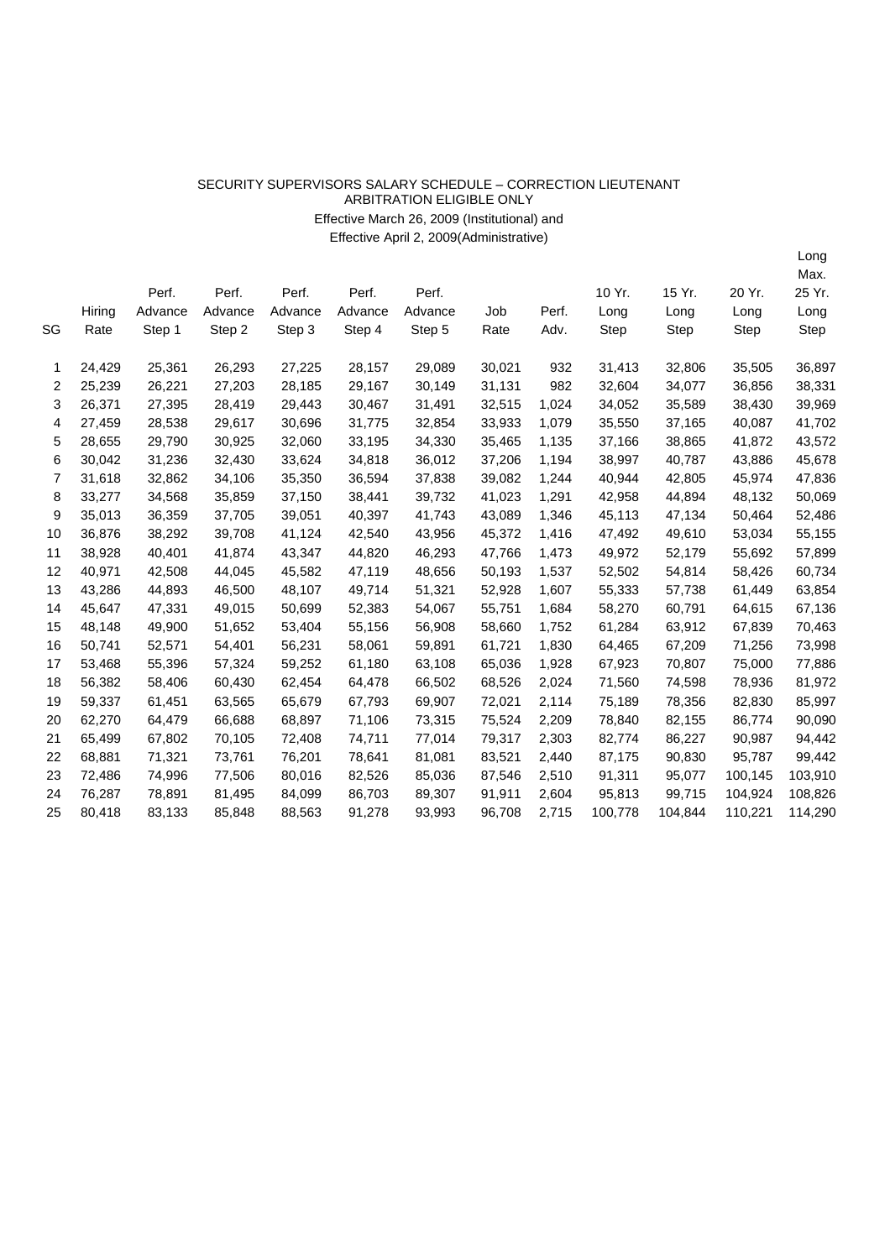## SECURITY SUPERVISORS SALARY SCHEDULE –CORRECTION LIEUTENANT ARBITRATION ELIGIBLE ONLY Effective March 26, 2009 (Institutional) and Effective April 2, 2009(Administrative)

|    |        |         |         |         |         |         |        |       |         |         |         | Max.    |
|----|--------|---------|---------|---------|---------|---------|--------|-------|---------|---------|---------|---------|
|    |        | Perf.   | Perf.   | Perf.   | Perf.   | Perf.   |        |       | 10 Yr.  | 15 Yr.  | 20 Yr.  | 25 Yr.  |
|    | Hiring | Advance | Advance | Advance | Advance | Advance | Job    | Perf. | Long    | Long    | Long    | Long    |
| SG | Rate   | Step 1  | Step 2  | Step 3  | Step 4  | Step 5  | Rate   | Adv.  | Step    | Step    | Step    | Step    |
| 1  | 24,429 | 25,361  | 26,293  | 27,225  | 28,157  | 29,089  | 30,021 | 932   | 31,413  | 32,806  | 35,505  | 36,897  |
| 2  | 25,239 | 26,221  | 27,203  | 28,185  | 29,167  | 30,149  | 31,131 | 982   | 32,604  | 34,077  | 36,856  | 38,331  |
| 3  | 26,371 | 27,395  | 28,419  | 29,443  | 30,467  | 31,491  | 32,515 | 1,024 | 34,052  | 35,589  | 38,430  | 39,969  |
| 4  | 27,459 | 28,538  | 29,617  | 30,696  | 31,775  | 32,854  | 33,933 | 1,079 | 35,550  | 37,165  | 40,087  | 41,702  |
| 5  | 28,655 | 29,790  | 30,925  | 32,060  | 33,195  | 34,330  | 35,465 | 1,135 | 37,166  | 38,865  | 41,872  | 43,572  |
| 6  | 30,042 | 31,236  | 32,430  | 33,624  | 34,818  | 36,012  | 37,206 | 1,194 | 38,997  | 40,787  | 43,886  | 45,678  |
| 7  | 31,618 | 32,862  | 34,106  | 35,350  | 36,594  | 37,838  | 39,082 | 1,244 | 40,944  | 42,805  | 45,974  | 47,836  |
| 8  | 33,277 | 34,568  | 35,859  | 37,150  | 38,441  | 39,732  | 41,023 | 1,291 | 42,958  | 44,894  | 48,132  | 50,069  |
| 9  | 35,013 | 36,359  | 37,705  | 39,051  | 40,397  | 41,743  | 43,089 | 1,346 | 45,113  | 47,134  | 50,464  | 52,486  |
| 10 | 36,876 | 38,292  | 39,708  | 41,124  | 42,540  | 43,956  | 45,372 | 1,416 | 47,492  | 49,610  | 53,034  | 55,155  |
| 11 | 38,928 | 40,401  | 41,874  | 43,347  | 44,820  | 46,293  | 47,766 | 1,473 | 49,972  | 52,179  | 55,692  | 57,899  |
| 12 | 40,971 | 42,508  | 44,045  | 45,582  | 47,119  | 48,656  | 50,193 | 1,537 | 52,502  | 54,814  | 58,426  | 60,734  |
| 13 | 43,286 | 44,893  | 46,500  | 48,107  | 49,714  | 51,321  | 52,928 | 1,607 | 55,333  | 57,738  | 61,449  | 63,854  |
| 14 | 45,647 | 47,331  | 49,015  | 50,699  | 52,383  | 54,067  | 55,751 | 1,684 | 58,270  | 60,791  | 64,615  | 67,136  |
| 15 | 48,148 | 49,900  | 51,652  | 53,404  | 55,156  | 56,908  | 58,660 | 1,752 | 61,284  | 63,912  | 67,839  | 70,463  |
| 16 | 50,741 | 52,571  | 54,401  | 56,231  | 58,061  | 59,891  | 61,721 | 1,830 | 64,465  | 67,209  | 71,256  | 73,998  |
| 17 | 53,468 | 55,396  | 57,324  | 59,252  | 61,180  | 63,108  | 65,036 | 1,928 | 67,923  | 70,807  | 75,000  | 77,886  |
| 18 | 56,382 | 58,406  | 60,430  | 62,454  | 64,478  | 66,502  | 68,526 | 2,024 | 71,560  | 74,598  | 78,936  | 81,972  |
| 19 | 59,337 | 61,451  | 63,565  | 65,679  | 67,793  | 69,907  | 72,021 | 2,114 | 75,189  | 78,356  | 82,830  | 85,997  |
| 20 | 62,270 | 64,479  | 66,688  | 68,897  | 71,106  | 73,315  | 75,524 | 2,209 | 78,840  | 82,155  | 86,774  | 90,090  |
| 21 | 65,499 | 67,802  | 70,105  | 72,408  | 74,711  | 77,014  | 79,317 | 2,303 | 82,774  | 86,227  | 90,987  | 94,442  |
| 22 | 68,881 | 71,321  | 73,761  | 76,201  | 78,641  | 81,081  | 83,521 | 2,440 | 87,175  | 90,830  | 95,787  | 99,442  |
| 23 | 72,486 | 74,996  | 77,506  | 80,016  | 82,526  | 85,036  | 87,546 | 2,510 | 91,311  | 95,077  | 100,145 | 103,910 |
| 24 | 76,287 | 78,891  | 81,495  | 84,099  | 86,703  | 89,307  | 91,911 | 2,604 | 95,813  | 99,715  | 104,924 | 108,826 |
| 25 | 80,418 | 83,133  | 85,848  | 88,563  | 91,278  | 93,993  | 96,708 | 2,715 | 100,778 | 104,844 | 110,221 | 114,290 |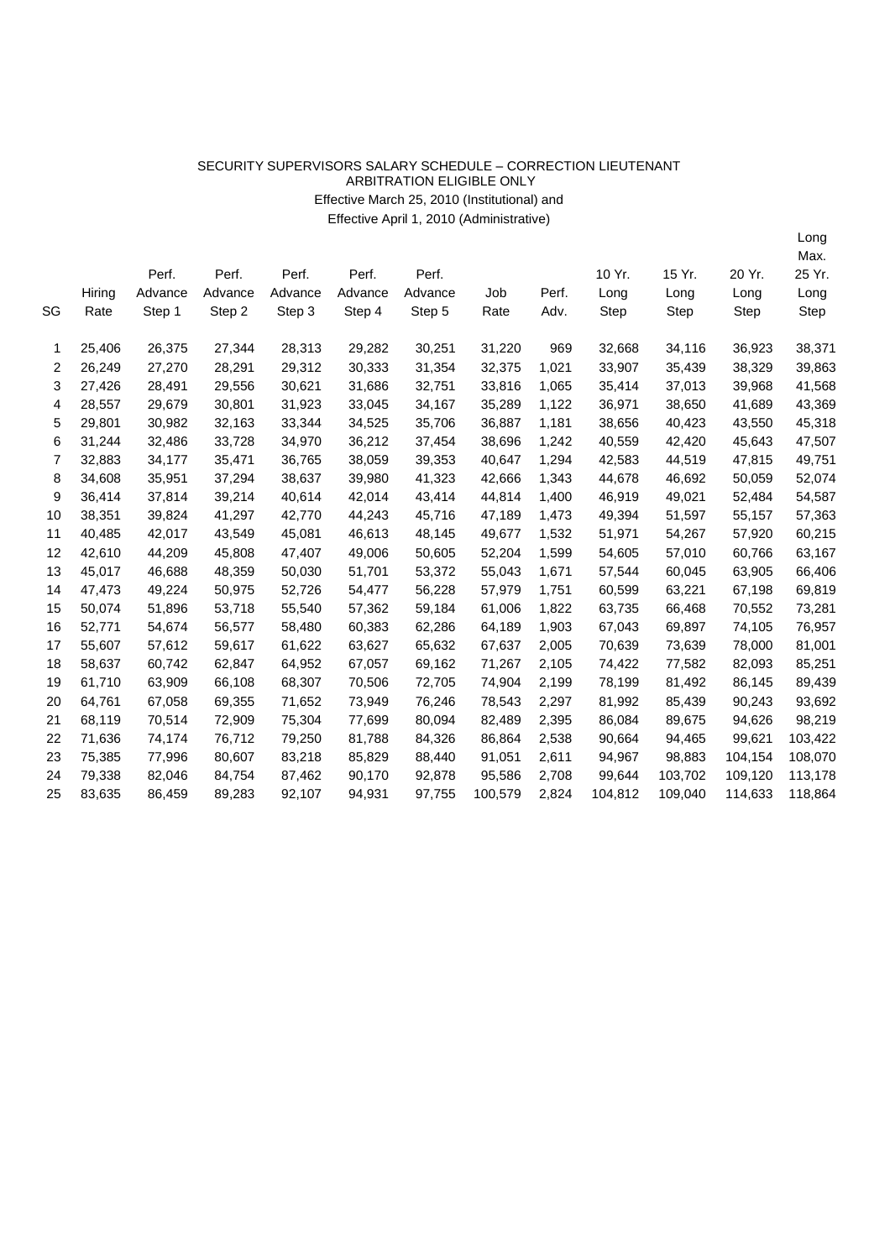## SECURITY SUPERVISORS SALARY SCHEDULE –CORRECTION LIEUTENANT ARBITRATION ELIGIBLE ONLY Effective March 25, 2010 (Institutional) and

Effective April 1, 2010 (Administrative)

|    |        |         |         |         |         |         |         |       |         |         |             | Max.    |
|----|--------|---------|---------|---------|---------|---------|---------|-------|---------|---------|-------------|---------|
|    |        | Perf.   | Perf.   | Perf.   | Perf.   | Perf.   |         |       | 10 Yr.  | 15 Yr.  | 20 Yr.      | 25 Yr.  |
|    | Hiring | Advance | Advance | Advance | Advance | Advance | Job     | Perf. | Long    | Long    | Long        | Long    |
| SG | Rate   | Step 1  | Step 2  | Step 3  | Step 4  | Step 5  | Rate    | Adv.  | Step    | Step    | <b>Step</b> | Step    |
| 1  | 25,406 | 26,375  | 27,344  | 28,313  | 29,282  | 30,251  | 31,220  | 969   | 32,668  | 34,116  | 36,923      | 38,371  |
| 2  | 26,249 | 27,270  | 28,291  | 29,312  | 30,333  | 31,354  | 32,375  | 1,021 | 33,907  | 35,439  | 38,329      | 39,863  |
| 3  | 27,426 | 28,491  | 29,556  | 30,621  | 31,686  | 32,751  | 33,816  | 1,065 | 35,414  | 37,013  | 39,968      | 41,568  |
| 4  | 28,557 | 29,679  | 30,801  | 31,923  | 33,045  | 34,167  | 35,289  | 1,122 | 36,971  | 38,650  | 41,689      | 43,369  |
| 5  | 29,801 | 30,982  | 32,163  | 33,344  | 34,525  | 35,706  | 36,887  | 1,181 | 38,656  | 40,423  | 43,550      | 45,318  |
| 6  | 31,244 | 32,486  | 33,728  | 34,970  | 36,212  | 37,454  | 38,696  | 1,242 | 40,559  | 42,420  | 45,643      | 47,507  |
| 7  | 32,883 | 34,177  | 35,471  | 36,765  | 38,059  | 39,353  | 40,647  | 1,294 | 42,583  | 44,519  | 47,815      | 49,751  |
| 8  | 34,608 | 35,951  | 37,294  | 38,637  | 39,980  | 41,323  | 42,666  | 1,343 | 44,678  | 46,692  | 50,059      | 52,074  |
| 9  | 36,414 | 37,814  | 39,214  | 40,614  | 42,014  | 43,414  | 44,814  | 1,400 | 46,919  | 49,021  | 52,484      | 54,587  |
| 10 | 38,351 | 39,824  | 41,297  | 42,770  | 44,243  | 45,716  | 47,189  | 1,473 | 49,394  | 51,597  | 55,157      | 57,363  |
| 11 | 40,485 | 42,017  | 43,549  | 45,081  | 46,613  | 48,145  | 49,677  | 1,532 | 51,971  | 54,267  | 57,920      | 60,215  |
| 12 | 42,610 | 44,209  | 45,808  | 47,407  | 49,006  | 50,605  | 52,204  | 1,599 | 54,605  | 57,010  | 60,766      | 63,167  |
| 13 | 45,017 | 46,688  | 48,359  | 50,030  | 51,701  | 53,372  | 55,043  | 1,671 | 57,544  | 60,045  | 63,905      | 66,406  |
| 14 | 47,473 | 49,224  | 50,975  | 52,726  | 54,477  | 56,228  | 57,979  | 1,751 | 60,599  | 63,221  | 67,198      | 69,819  |
| 15 | 50,074 | 51,896  | 53,718  | 55,540  | 57,362  | 59,184  | 61,006  | 1,822 | 63,735  | 66,468  | 70,552      | 73,281  |
| 16 | 52,771 | 54,674  | 56,577  | 58,480  | 60,383  | 62,286  | 64,189  | 1,903 | 67,043  | 69,897  | 74,105      | 76,957  |
| 17 | 55,607 | 57,612  | 59,617  | 61,622  | 63,627  | 65,632  | 67,637  | 2,005 | 70,639  | 73,639  | 78,000      | 81,001  |
| 18 | 58,637 | 60,742  | 62,847  | 64,952  | 67,057  | 69,162  | 71,267  | 2,105 | 74,422  | 77,582  | 82,093      | 85,251  |
| 19 | 61,710 | 63,909  | 66,108  | 68,307  | 70,506  | 72,705  | 74,904  | 2,199 | 78,199  | 81,492  | 86,145      | 89,439  |
| 20 | 64,761 | 67,058  | 69,355  | 71,652  | 73,949  | 76,246  | 78,543  | 2,297 | 81,992  | 85,439  | 90,243      | 93,692  |
| 21 | 68,119 | 70,514  | 72,909  | 75,304  | 77,699  | 80,094  | 82,489  | 2,395 | 86,084  | 89,675  | 94,626      | 98,219  |
| 22 | 71,636 | 74,174  | 76,712  | 79,250  | 81,788  | 84,326  | 86,864  | 2,538 | 90,664  | 94,465  | 99,621      | 103,422 |
| 23 | 75,385 | 77,996  | 80,607  | 83,218  | 85,829  | 88,440  | 91,051  | 2,611 | 94,967  | 98,883  | 104,154     | 108,070 |
| 24 | 79,338 | 82,046  | 84,754  | 87,462  | 90,170  | 92,878  | 95,586  | 2,708 | 99,644  | 103,702 | 109,120     | 113,178 |
| 25 | 83,635 | 86,459  | 89,283  | 92,107  | 94,931  | 97,755  | 100,579 | 2,824 | 104,812 | 109,040 | 114,633     | 118,864 |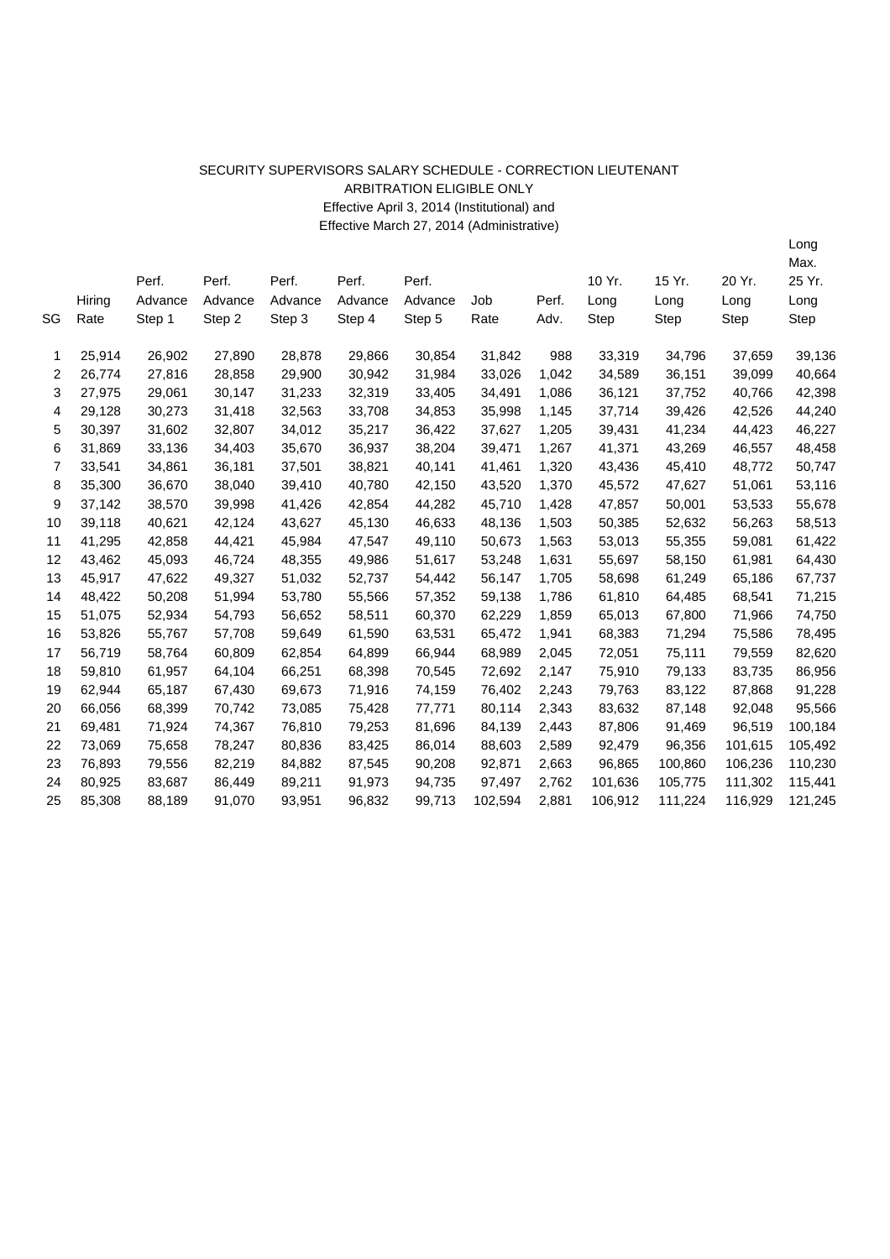## SECURITY SUPERVISORS SALARY SCHEDULE - CORRECTION LIEUTENANT ARBITRATION ELIGIBLE ONLY Effective April 3, 2014 (Institutional) and Effective March 27, 2014 (Administrative)

|    |        |         |         |         |         |         |         |       |         |         |         | Max.    |
|----|--------|---------|---------|---------|---------|---------|---------|-------|---------|---------|---------|---------|
|    |        | Perf.   | Perf.   | Perf.   | Perf.   | Perf.   |         |       | 10 Yr.  | 15 Yr.  | 20 Yr.  | 25 Yr.  |
|    | Hiring | Advance | Advance | Advance | Advance | Advance | Job     | Perf. | Long    | Long    | Long    | Long    |
| SG | Rate   | Step 1  | Step 2  | Step 3  | Step 4  | Step 5  | Rate    | Adv.  | Step    | Step    | Step    | Step    |
|    |        |         |         |         |         |         |         |       |         |         |         |         |
| 1  | 25,914 | 26,902  | 27,890  | 28,878  | 29,866  | 30,854  | 31,842  | 988   | 33,319  | 34,796  | 37,659  | 39,136  |
| 2  | 26,774 | 27,816  | 28,858  | 29,900  | 30,942  | 31,984  | 33,026  | 1,042 | 34,589  | 36,151  | 39,099  | 40,664  |
| 3  | 27,975 | 29,061  | 30,147  | 31,233  | 32,319  | 33,405  | 34,491  | 1,086 | 36,121  | 37,752  | 40,766  | 42,398  |
| 4  | 29,128 | 30,273  | 31,418  | 32,563  | 33,708  | 34,853  | 35,998  | 1,145 | 37,714  | 39,426  | 42,526  | 44,240  |
| 5  | 30,397 | 31,602  | 32,807  | 34,012  | 35,217  | 36,422  | 37,627  | 1,205 | 39,431  | 41,234  | 44,423  | 46,227  |
| 6  | 31,869 | 33,136  | 34,403  | 35,670  | 36,937  | 38,204  | 39,471  | 1,267 | 41,371  | 43,269  | 46,557  | 48,458  |
| 7  | 33,541 | 34,861  | 36,181  | 37,501  | 38,821  | 40,141  | 41,461  | 1,320 | 43,436  | 45,410  | 48,772  | 50,747  |
| 8  | 35,300 | 36,670  | 38,040  | 39,410  | 40,780  | 42,150  | 43,520  | 1,370 | 45,572  | 47,627  | 51,061  | 53,116  |
| 9  | 37,142 | 38,570  | 39,998  | 41,426  | 42,854  | 44,282  | 45,710  | 1,428 | 47,857  | 50,001  | 53,533  | 55,678  |
| 10 | 39,118 | 40,621  | 42,124  | 43,627  | 45,130  | 46,633  | 48,136  | 1,503 | 50,385  | 52,632  | 56,263  | 58,513  |
| 11 | 41,295 | 42,858  | 44,421  | 45,984  | 47,547  | 49,110  | 50,673  | 1,563 | 53,013  | 55,355  | 59,081  | 61,422  |
| 12 | 43,462 | 45,093  | 46,724  | 48,355  | 49,986  | 51,617  | 53,248  | 1,631 | 55,697  | 58,150  | 61,981  | 64,430  |
| 13 | 45,917 | 47,622  | 49,327  | 51,032  | 52,737  | 54,442  | 56,147  | 1,705 | 58,698  | 61,249  | 65,186  | 67,737  |
| 14 | 48,422 | 50,208  | 51,994  | 53,780  | 55,566  | 57,352  | 59,138  | 1,786 | 61,810  | 64,485  | 68,541  | 71,215  |
| 15 | 51,075 | 52,934  | 54,793  | 56,652  | 58,511  | 60,370  | 62,229  | 1,859 | 65,013  | 67,800  | 71,966  | 74,750  |
| 16 | 53,826 | 55,767  | 57,708  | 59,649  | 61,590  | 63,531  | 65,472  | 1,941 | 68,383  | 71,294  | 75,586  | 78,495  |
| 17 | 56,719 | 58,764  | 60,809  | 62,854  | 64,899  | 66,944  | 68,989  | 2,045 | 72,051  | 75,111  | 79,559  | 82,620  |
| 18 | 59,810 | 61,957  | 64,104  | 66,251  | 68,398  | 70,545  | 72,692  | 2,147 | 75,910  | 79,133  | 83,735  | 86,956  |
| 19 | 62,944 | 65,187  | 67,430  | 69,673  | 71,916  | 74,159  | 76,402  | 2,243 | 79,763  | 83,122  | 87,868  | 91,228  |
| 20 | 66,056 | 68,399  | 70,742  | 73,085  | 75,428  | 77,771  | 80,114  | 2,343 | 83,632  | 87,148  | 92,048  | 95,566  |
| 21 | 69,481 | 71,924  | 74,367  | 76,810  | 79,253  | 81,696  | 84,139  | 2,443 | 87,806  | 91,469  | 96,519  | 100,184 |
| 22 | 73,069 | 75,658  | 78,247  | 80,836  | 83,425  | 86,014  | 88,603  | 2,589 | 92,479  | 96,356  | 101,615 | 105,492 |
| 23 | 76,893 | 79,556  | 82,219  | 84,882  | 87,545  | 90,208  | 92,871  | 2,663 | 96,865  | 100,860 | 106,236 | 110,230 |
| 24 | 80,925 | 83,687  | 86,449  | 89,211  | 91,973  | 94,735  | 97,497  | 2,762 | 101,636 | 105,775 | 111,302 | 115,441 |
| 25 | 85,308 | 88,189  | 91,070  | 93,951  | 96,832  | 99,713  | 102,594 | 2,881 | 106,912 | 111,224 | 116,929 | 121,245 |
|    |        |         |         |         |         |         |         |       |         |         |         |         |